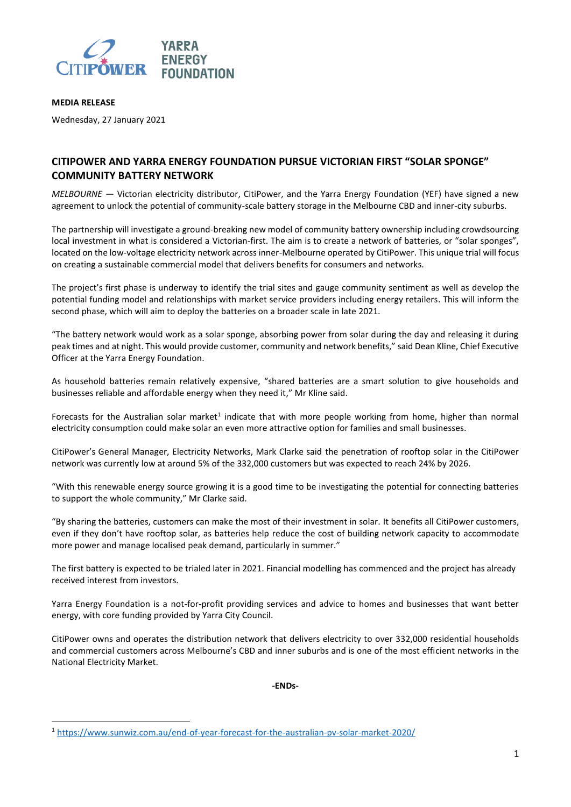

# **MEDIA RELEASE**

**.** 

Wednesday, 27 January 2021

# **CITIPOWER AND YARRA ENERGY FOUNDATION PURSUE VICTORIAN FIRST "SOLAR SPONGE" COMMUNITY BATTERY NETWORK**

*MELBOURNE* — Victorian electricity distributor, CitiPower, and the Yarra Energy Foundation (YEF) have signed a new agreement to unlock the potential of community-scale battery storage in the Melbourne CBD and inner-city suburbs.

The partnership will investigate a ground-breaking new model of community battery ownership including crowdsourcing local investment in what is considered a Victorian-first. The aim is to create a network of batteries, or "solar sponges", located on the low-voltage electricity network across inner-Melbourne operated by CitiPower. This unique trial will focus on creating a sustainable commercial model that delivers benefits for consumers and networks.

The project's first phase is underway to identify the trial sites and gauge community sentiment as well as develop the potential funding model and relationships with market service providers including energy retailers. This will inform the second phase, which will aim to deploy the batteries on a broader scale in late 2021.

"The battery network would work as a solar sponge, absorbing power from solar during the day and releasing it during peak times and at night. This would provide customer, community and network benefits," said Dean Kline, Chief Executive Officer at the Yarra Energy Foundation.

As household batteries remain relatively expensive, "shared batteries are a smart solution to give households and businesses reliable and affordable energy when they need it," Mr Kline said.

Forecasts for the Australian solar market<sup>1</sup> indicate that with more people working from home, higher than normal electricity consumption could make solar an even more attractive option for families and small businesses.

CitiPower's General Manager, Electricity Networks, Mark Clarke said the penetration of rooftop solar in the CitiPower network was currently low at around 5% of the 332,000 customers but was expected to reach 24% by 2026.

"With this renewable energy source growing it is a good time to be investigating the potential for connecting batteries to support the whole community," Mr Clarke said.

"By sharing the batteries, customers can make the most of their investment in solar. It benefits all CitiPower customers, even if they don't have rooftop solar, as batteries help reduce the cost of building network capacity to accommodate more power and manage localised peak demand, particularly in summer."

The first battery is expected to be trialed later in 2021. Financial modelling has commenced and the project has already received interest from investors.

Yarra Energy Foundation is a not-for-profit providing services and advice to homes and businesses that want better energy, with core funding provided by Yarra City Council.

CitiPower owns and operates the distribution network that delivers electricity to over 332,000 residential households and commercial customers across Melbourne's CBD and inner suburbs and is one of the most efficient networks in the National Electricity Market.

**-ENDs-**

<sup>1</sup> <https://www.sunwiz.com.au/end-of-year-forecast-for-the-australian-pv-solar-market-2020/>